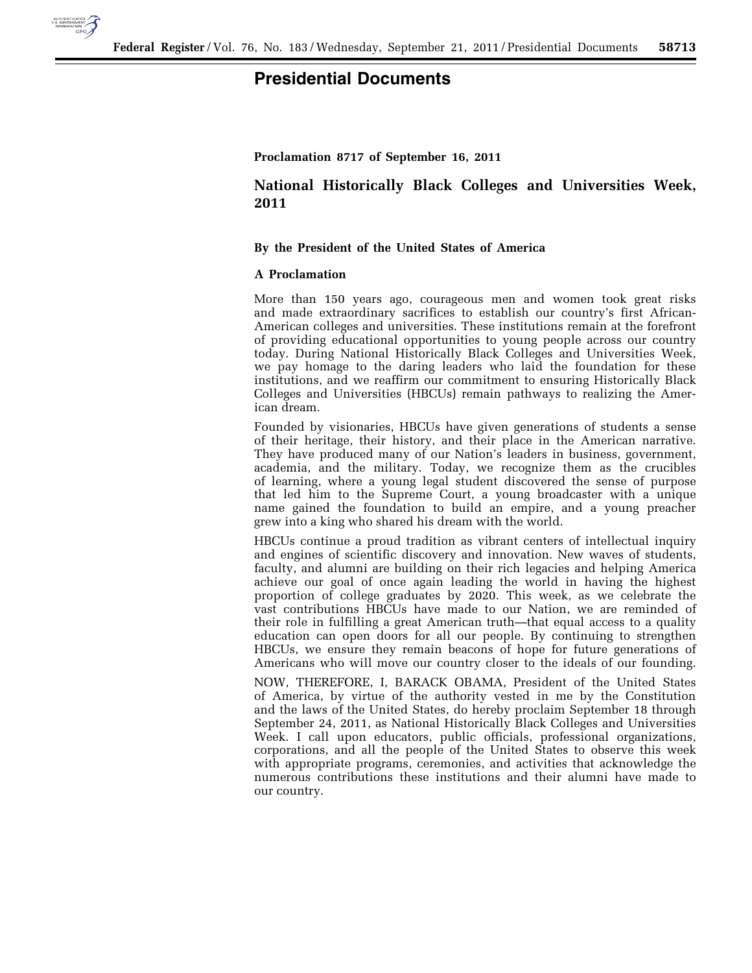

# **Presidential Documents**

## **Proclamation 8717 of September 16, 2011**

# **National Historically Black Colleges and Universities Week, 2011**

#### **By the President of the United States of America**

## **A Proclamation**

More than 150 years ago, courageous men and women took great risks and made extraordinary sacrifices to establish our country's first African-American colleges and universities. These institutions remain at the forefront of providing educational opportunities to young people across our country today. During National Historically Black Colleges and Universities Week, we pay homage to the daring leaders who laid the foundation for these institutions, and we reaffirm our commitment to ensuring Historically Black Colleges and Universities (HBCUs) remain pathways to realizing the American dream.

Founded by visionaries, HBCUs have given generations of students a sense of their heritage, their history, and their place in the American narrative. They have produced many of our Nation's leaders in business, government, academia, and the military. Today, we recognize them as the crucibles of learning, where a young legal student discovered the sense of purpose that led him to the Supreme Court, a young broadcaster with a unique name gained the foundation to build an empire, and a young preacher grew into a king who shared his dream with the world.

HBCUs continue a proud tradition as vibrant centers of intellectual inquiry and engines of scientific discovery and innovation. New waves of students, faculty, and alumni are building on their rich legacies and helping America achieve our goal of once again leading the world in having the highest proportion of college graduates by 2020. This week, as we celebrate the vast contributions HBCUs have made to our Nation, we are reminded of their role in fulfilling a great American truth—that equal access to a quality education can open doors for all our people. By continuing to strengthen HBCUs, we ensure they remain beacons of hope for future generations of Americans who will move our country closer to the ideals of our founding.

NOW, THEREFORE, I, BARACK OBAMA, President of the United States of America, by virtue of the authority vested in me by the Constitution and the laws of the United States, do hereby proclaim September 18 through September 24, 2011, as National Historically Black Colleges and Universities Week. I call upon educators, public officials, professional organizations, corporations, and all the people of the United States to observe this week with appropriate programs, ceremonies, and activities that acknowledge the numerous contributions these institutions and their alumni have made to our country.